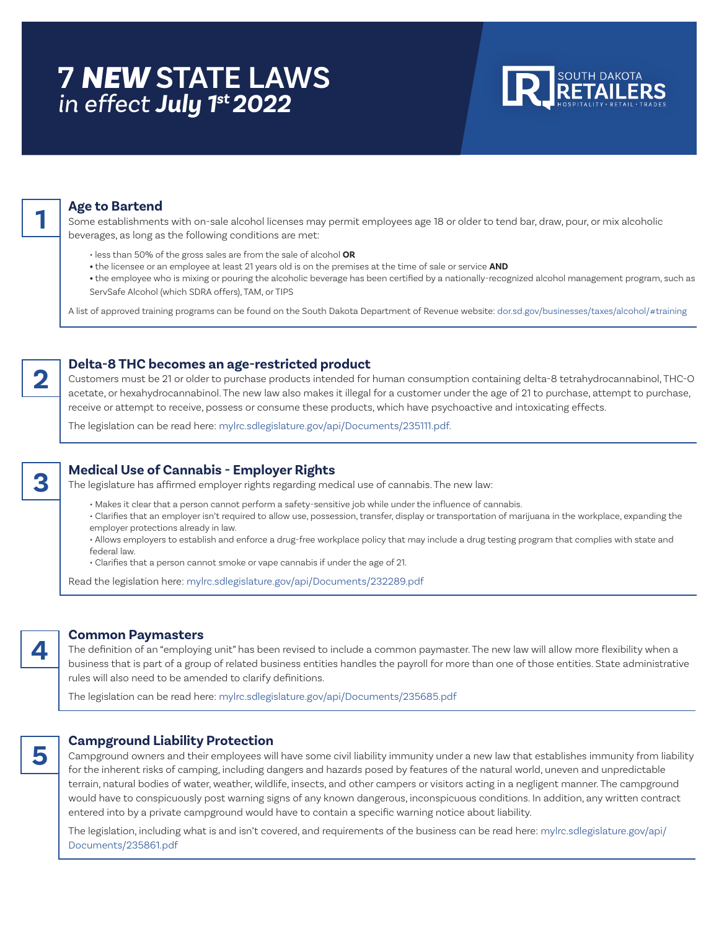# **7** *NEW* **STATE LAWS** *in effect July 1st 2022*



## **Age to Bartend**

Some establishments with on-sale alcohol licenses may permit employees age 18 or older to tend bar, draw, pour, or mix alcoholic beverages, as long as the following conditions are met:

- less than 50% of the gross sales are from the sale of alcohol **OR**
- the licensee or an employee at least 21 years old is on the premises at the time of sale or service **AND**
- the employee who is mixing or pouring the alcoholic beverage has been certified by a nationally-recognized alcohol management program, such as ServSafe Alcohol (which SDRA offers), TAM, or TIPS

A list of approved training programs can be found on the South Dakota Department of Revenue website: dor.sd.gov/businesses/taxes/alcohol/#training

## **Delta-8 THC becomes an age-restricted product**

Customers must be 21 or older to purchase products intended for human consumption containing delta-8 tetrahydrocannabinol, THC-O acetate, or hexahydrocannabinol. The new law also makes it illegal for a customer under the age of 21 to purchase, attempt to purchase, receive or attempt to receive, possess or consume these products, which have psychoactive and intoxicating effects.

The legislation can be read here: mylrc.sdlegislature.gov/api/Documents/235111.pdf.



**2**

**1**

## **Medical Use of Cannabis - Employer Rights**

The legislature has affirmed employer rights regarding medical use of cannabis. The new law:

• Makes it clear that a person cannot perform a safety-sensitive job while under the influence of cannabis.

• Clarifies that an employer isn't required to allow use, possession, transfer, display or transportation of marijuana in the workplace, expanding the employer protections already in law.

• Allows employers to establish and enforce a drug-free workplace policy that may include a drug testing program that complies with state and federal law.

• Clarifies that a person cannot smoke or vape cannabis if under the age of 21.

Read the legislation here: mylrc.sdlegislature.gov/api/Documents/232289.pdf



**5**

#### **Common Paymasters**

The definition of an "employing unit" has been revised to include a common paymaster. The new law will allow more flexibility when a business that is part of a group of related business entities handles the payroll for more than one of those entities. State administrative rules will also need to be amended to clarify definitions.

The legislation can be read here: mylrc.sdlegislature.gov/api/Documents/235685.pdf

### **Campground Liability Protection**

Campground owners and their employees will have some civil liability immunity under a new law that establishes immunity from liability for the inherent risks of camping, including dangers and hazards posed by features of the natural world, uneven and unpredictable terrain, natural bodies of water, weather, wildlife, insects, and other campers or visitors acting in a negligent manner. The campground would have to conspicuously post warning signs of any known dangerous, inconspicuous conditions. In addition, any written contract entered into by a private campground would have to contain a specific warning notice about liability.

The legislation, including what is and isn't covered, and requirements of the business can be read here: mylrc.sdlegislature.gov/api/ Documents/235861.pdf